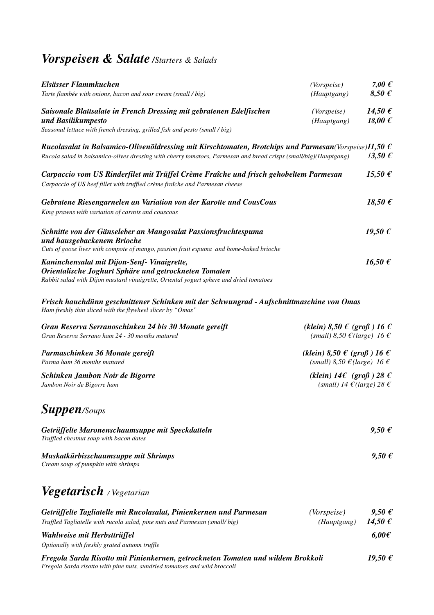## *Vorspeisen & Salate /Starters & Salads*

| Elsässer Flammkuchen<br>Tarte flambée with onions, bacon and sour cream (small / big)                                                                                                                                          | (Vorspeise)<br>(Hauptgang)                                                                                                  | 7,00 $\epsilon$<br>$8,50 \text{ } \in$ |
|--------------------------------------------------------------------------------------------------------------------------------------------------------------------------------------------------------------------------------|-----------------------------------------------------------------------------------------------------------------------------|----------------------------------------|
| Saisonale Blattsalate in French Dressing mit gebratenen Edelfischen<br>und Basilikumpesto<br>Seasonal lettuce with french dressing, grilled fish and pesto (small / big)                                                       | <i>(Vorspeise)</i><br>(Hauptgang)                                                                                           | $14,50 \in$<br>18,00 $\epsilon$        |
| Rucolasalat in Balsamico-Olivenöldressing mit Kirschtomaten, Brotchips und Parmesan(Vorspeise) $11,50 \in$<br>Rucola salad in balsamico-olives dressing with cherry tomatoes, Parmesan and bread crisps (small/big)(Hauptgang) |                                                                                                                             | $13,50 \in$                            |
| Carpaccio vom US Rinderfilet mit Trüffel Crème Fraîche und frisch gehobeltem Parmesan<br>Carpaccio of US beef fillet with truffled crème fraîche and Parmesan cheese                                                           |                                                                                                                             | 15,50 $\epsilon$                       |
| Gebratene Riesengarnelen an Variation von der Karotte und CousCous<br>King prawns with variation of carrots and couscous                                                                                                       |                                                                                                                             | 18,50 $\epsilon$                       |
| Schnitte von der Gänseleber an Mangosalat Passionsfruchtespuma<br>und hausgebackenem Brioche<br>Cuts of goose liver with compote of mango, passion fruit espuma and home-baked brioche                                         |                                                                                                                             | $19,50 \in$                            |
| Kaninchensalat mit Dijon-Senf-Vinaigrette,<br>Orientalische Joghurt Sphäre und getrockneten Tomaten<br>Rabbit salad with Dijon mustard vinaigrette, Oriental yogurt sphere and dried tomatoes                                  |                                                                                                                             | 16,50 $\epsilon$                       |
| Frisch hauchdünn geschnittener Schinken mit der Schwungrad - Aufschnittmaschine von Omas<br>Ham freshly thin sliced with the flywheel slicer by "Omas"                                                                         |                                                                                                                             |                                        |
| Gran Reserva Serranoschinken 24 bis 30 Monate gereift<br>Gran Reserva Serrano ham 24 - 30 months matured                                                                                                                       | (klein) 8,50 $\epsilon$ (groß) 16 $\epsilon$<br>(small) 8,50 $\mathcal{E}$ (large) 16 $\mathcal{E}$                         |                                        |
| Parmaschinken 36 Monate gereift<br>Parma ham 36 months matured                                                                                                                                                                 | (klein) $8,50 \text{ } \in \text{ } (\text{gr} \text{of}) 16 \text{ } \in$<br>(small) 8,50 $\epsilon$ (large) 16 $\epsilon$ |                                        |
| Schinken Jambon Noir de Bigorre<br>Jambon Noir de Bigorre ham                                                                                                                                                                  | (klein) $14\epsilon$ (groß) $28\epsilon$<br>(small) 14 $\epsilon$ (large) 28 $\epsilon$                                     |                                        |
| <b>Suppen/Soups</b>                                                                                                                                                                                                            |                                                                                                                             |                                        |
| Getrüffelte Maronenschaumsuppe mit Speckdatteln<br>Truffled chestnut soup with bacon dates                                                                                                                                     |                                                                                                                             | $9,50 \in$                             |
| Muskatkürbisschaumsuppe mit Shrimps<br>Cream soup of pumpkin with shrimps                                                                                                                                                      |                                                                                                                             | $9,50 \in$                             |
| <b>Vegetarisch</b> / Vegetarian                                                                                                                                                                                                |                                                                                                                             |                                        |
| Getrüffelte Tagliatelle mit Rucolasalat, Pinienkernen und Parmesan<br>Truffled Tagliatelle with rucola salad, pine nuts and Parmesan (small/big)                                                                               | (Vorspeise)<br>(Hauptgang)                                                                                                  | $9,50 \in$<br>14,50 $\epsilon$         |
| Wahlweise mit Herbsttrüffel<br>Optionally with freshly grated autumn truffle                                                                                                                                                   |                                                                                                                             | $6,00 \in$                             |
| Fregola Sarda Risotto mit Pinienkernen, getrockneten Tomaten und wildem Brokkoli<br>Fregola Sarda risotto with pine nuts, sundried tomatoes and wild broccoli                                                                  |                                                                                                                             | $19,50 \notin$                         |